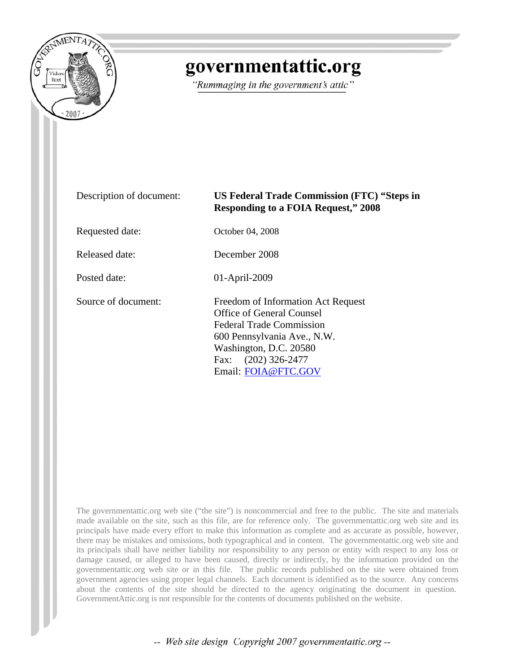

## governmentattic.org

"Rummaging in the government's attic"

| Description of document: | <b>US Federal Trade Commission (FTC) "Steps in</b><br><b>Responding to a FOIA Request," 2008</b>                                                                                                               |
|--------------------------|----------------------------------------------------------------------------------------------------------------------------------------------------------------------------------------------------------------|
| Requested date:          | October 04, 2008                                                                                                                                                                                               |
| Released date:           | December 2008                                                                                                                                                                                                  |
| Posted date:             | 01-April-2009                                                                                                                                                                                                  |
| Source of document:      | Freedom of Information Act Request<br>Office of General Counsel<br><b>Federal Trade Commission</b><br>600 Pennsylvania Ave., N.W.<br>Washington, D.C. 20580<br>$(202)$ 326-2477<br>Fax:<br>Email: FOIA@FTC.GOV |

The governmentattic.org web site ("the site") is noncommercial and free to the public. The site and materials made available on the site, such as this file, are for reference only. The governmentattic.org web site and its principals have made every effort to make this information as complete and as accurate as possible, however, there may be mistakes and omissions, both typographical and in content. The governmentattic.org web site and its principals shall have neither liability nor responsibility to any person or entity with respect to any loss or damage caused, or alleged to have been caused, directly or indirectly, by the information provided on the governmentattic.org web site or in this file. The public records published on the site were obtained from government agencies using proper legal channels. Each document is identified as to the source. Any concerns about the contents of the site should be directed to the agency originating the document in question. GovernmentAttic.org is not responsible for the contents of documents published on the website.

-- Web site design Copyright 2007 governmentattic.org --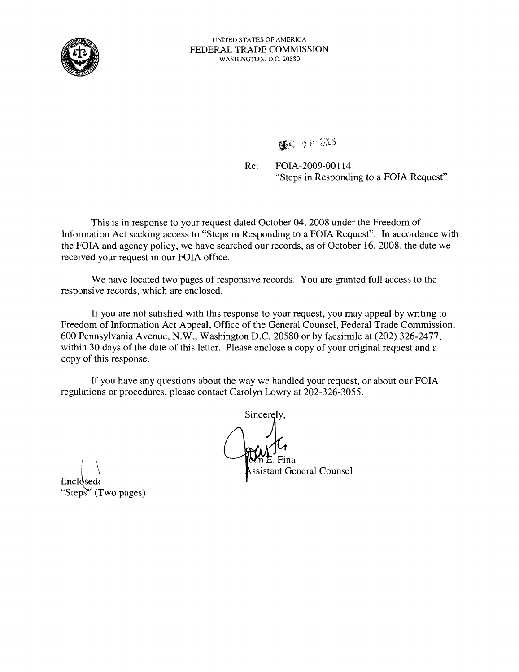

## UNITED STATES OF AMERICA FEDERAL TRADE COMMISSION WASHINGTON, D.C. 20580

**DEC**: 98 2005

Re: FOIA-2009-00114 "Steps in Responding to a FOIA Request"

This is in response to your request dated October 04, 2008 under the Freedom of Information Act seeking access to "Steps in Responding to a FOIA Request". In accordance with the FOIA and agency policy, we have searched our records, as of October 16, 2008, the date we received your request in our FOIA office.

We have located two pages of responsive records. You are granted full access to the responsive records, which are enclosed.

If you are not satisfied with this response to your request, you may appeal by writing to Freedom of Information Act Appeal, Office of the General Counsel, Federal Trade Commission, 600 Pennsylvania Avenue, N.W., Washington D.C. 20580 or by facsimile at (202) 326-2477, within 30 days of the date of this letter. Please enclose a copy of your original request and a copy of this response.

If you have any questions about the way we handled your request, or about our FOIA regulations or procedures, please contact Carolyn Lowry at 202-326-3055,

Sincerely,

ssistant General Counsel

 $Enclose$ "Steps" (Two pages)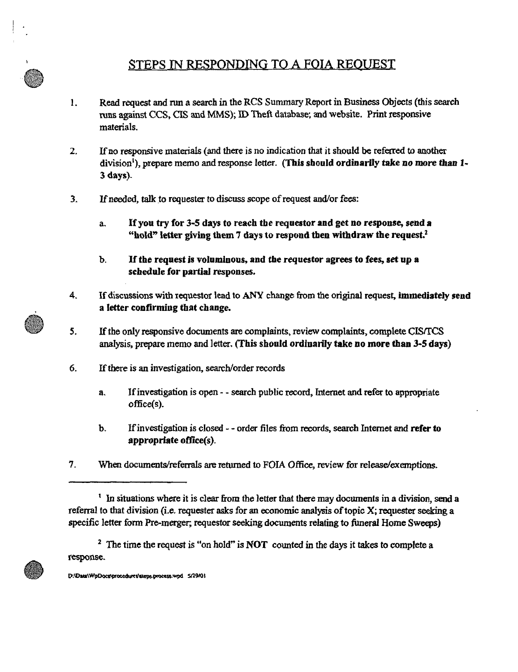## STEPS IN RESPONDING TO A FOIA REQUEST

- 1. Read request and run a search in the RCS Summary Report in Business Objects (this search runs against CCS, CIS and MMS); ID Theft database; and website. Print responsive materials.
- 2. If no responsive materials (and there is no indication that it should be referred to another division<sup>1</sup>), prepare memo and response letter. (This should ordinarily take no more than 1-3 days).
- 3. If needed, talk to requester to discuss scope of request and/or fees:
	- a. If you try for 3-5 days to reach the requestor and get no response, send a "hold" letter giving them  $7$  days to respond then withdraw the request.<sup>2</sup>
	- b. If the request is voluminous, and the requestor agrees to fees, set up a schedule for partial responses.
- 4. If discussions with requestor lead to ANY change from the original request, immediately send a letter confirming that change.
- 5. If the only responsive documents are complaints, review complaints, complete CIS/TCS analysis, prepare memo and letter. (fhis should ordinarily take no more than 3·5 days)
- 6. Ifthere is an investigation, search/order records
	- a. If investigation is open - search public record. Internet and refer to appropriate office(s).
	- b. If investigation is closed - order files from records, search Internet and refer to appropriate office(s).
- 7. When documents/referrals are returned to FOIA Office, review for release/exemptions.



 $<sup>t</sup>$  In situations where it is clear from the letter that there may documents in a division, send a</sup> referral to that division (i.e. requester asks for an economic analysis of topic X; requester seeking a specific letter fonn Pre-merger; requestor seeking documents relating to funeral Home Sweeps)

<sup>&</sup>lt;sup>2</sup> The time the request is "on hold" is NOT counted in the days it takes to complete a response.